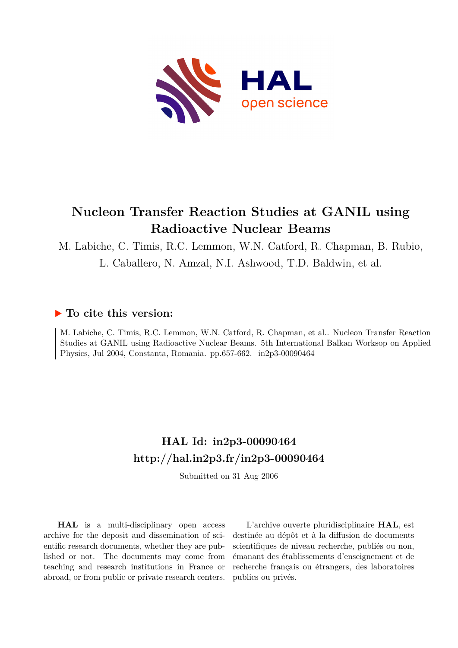

# **Nucleon Transfer Reaction Studies at GANIL using Radioactive Nuclear Beams**

M. Labiche, C. Timis, R.C. Lemmon, W.N. Catford, R. Chapman, B. Rubio,

L. Caballero, N. Amzal, N.I. Ashwood, T.D. Baldwin, et al.

# **To cite this version:**

M. Labiche, C. Timis, R.C. Lemmon, W.N. Catford, R. Chapman, et al.. Nucleon Transfer Reaction Studies at GANIL using Radioactive Nuclear Beams. 5th International Balkan Worksop on Applied Physics, Jul 2004, Constanta, Romania. pp.657-662. in2p3-00090464

# **HAL Id: in2p3-00090464 <http://hal.in2p3.fr/in2p3-00090464>**

Submitted on 31 Aug 2006

**HAL** is a multi-disciplinary open access archive for the deposit and dissemination of scientific research documents, whether they are published or not. The documents may come from teaching and research institutions in France or abroad, or from public or private research centers.

L'archive ouverte pluridisciplinaire **HAL**, est destinée au dépôt et à la diffusion de documents scientifiques de niveau recherche, publiés ou non, émanant des établissements d'enseignement et de recherche français ou étrangers, des laboratoires publics ou privés.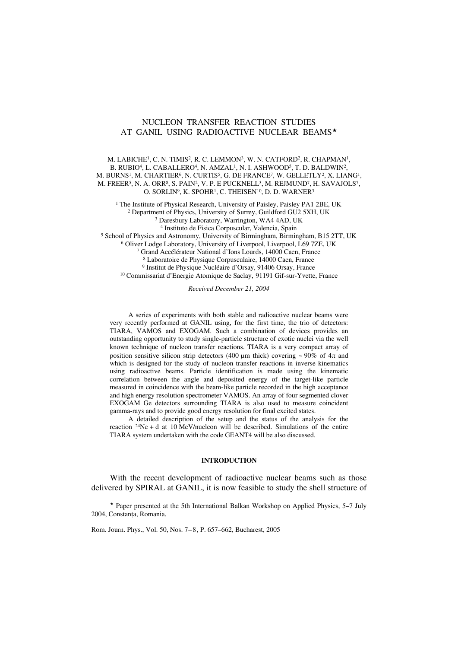## NUCLEON TRANSFER REACTION STUDIES AT GANIL USING RADIOACTIVE NUCLEAR BEAMS\*

M. LABICHE1, C. N. TIMIS2, R. C. LEMMON3, W. N. CATFORD2, R. CHAPMAN1, B. RUBIO<sup>4</sup>, L. CABALLERO<sup>4</sup>, N. AMZAL<sup>1</sup>, N. I. ASHWOOD<sup>5</sup>, T. D. BALDWIN<sup>2</sup>, M. BURNS1, M. CHARTIER6, N. CURTIS5, G. DE FRANCE7, W. GELLETLY2, X. LIANG1, M. FREER5, N. A. ORR8, S. PAIN2, V. P. E PUCKNELL3, M. REJMUND7, H. SAVAJOLS7, O. SORLIN<sup>9</sup>, K. SPOHR<sup>1</sup>, C. THEISEN<sup>10</sup>, D. D. WARNER<sup>3</sup>

<sup>1</sup> The Institute of Physical Research, University of Paisley, Paisley PA1 2BE, UK 2 Department of Physics, University of Surrey, Guildford GU2 5XH, UK

3 Daresbury Laboratory, Warrington, WA4 4AD, UK

4 Instituto de Fisica Corpuscular, Valencia, Spain

5 School of Physics and Astronomy, University of Birmingham, Birmingham, B15 2TT, UK

6 Oliver Lodge Laboratory, University of Liverpool, Liverpool, L69 7ZE, UK

7 Grand Accélérateur National d'Ions Lourds, 14000 Caen, France

8 Laboratoire de Physique Corpusculaire, 14000 Caen, France

9 Institut de Physique Nucléaire d'Orsay, 91406 Orsay, France

10 Commissariat d'Energie Atomique de Saclay, 91191 Gif-sur-Yvette, France

*Received December 21, 2004*

A series of experiments with both stable and radioactive nuclear beams were very recently performed at GANIL using, for the first time, the trio of detectors: TIARA, VAMOS and EXOGAM. Such a combination of devices provides an outstanding opportunity to study single-particle structure of exotic nuclei via the well known technique of nucleon transfer reactions. TIARA is a very compact array of position sensitive silicon strip detectors (400 μm thick) covering  $\sim$  90% of 4 $\pi$  and which is designed for the study of nucleon transfer reactions in inverse kinematics using radioactive beams. Particle identification is made using the kinematic correlation between the angle and deposited energy of the target-like particle measured in coincidence with the beam-like particle recorded in the high acceptance and high energy resolution spectrometer VAMOS. An array of four segmented clover EXOGAM Ge detectors surrounding TIARA is also used to measure coincident gamma-rays and to provide good energy resolution for final excited states.

A detailed description of the setup and the status of the analysis for the reaction  $24Ne + d$  at 10 MeV/nucleon will be described. Simulations of the entire TIARA system undertaken with the code GEANT4 will be also discussed.

#### **INTRODUCTION**

With the recent development of radioactive nuclear beams such as those delivered by SPIRAL at GANIL, it is now feasible to study the shell structure of

 Paper presented at the 5th International Balkan Workshop on Applied Physics, 5–7 July 2004, Constanta, Romania.

Rom. Journ. Phys., Vol. 50, Nos. 7–8, P. 657–662, Bucharest, 2005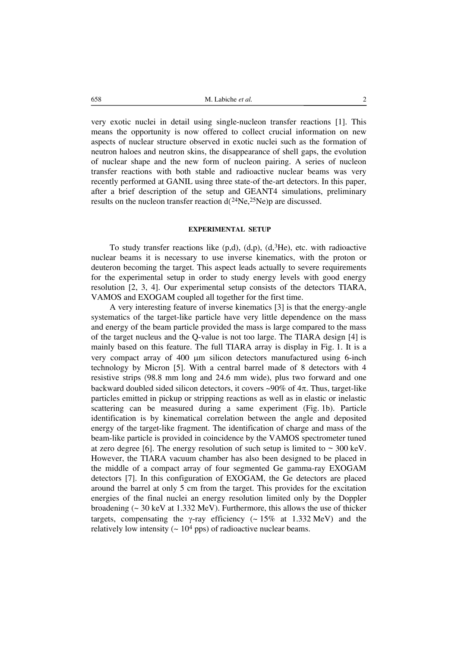658 M. Labiche *et al.* 2

very exotic nuclei in detail using single-nucleon transfer reactions [1]. This means the opportunity is now offered to collect crucial information on new aspects of nuclear structure observed in exotic nuclei such as the formation of neutron haloes and neutron skins, the disappearance of shell gaps, the evolution of nuclear shape and the new form of nucleon pairing. A series of nucleon transfer reactions with both stable and radioactive nuclear beams was very recently performed at GANIL using three state-of the-art detectors. In this paper, after a brief description of the setup and GEANT4 simulations, preliminary results on the nucleon transfer reaction d(24Ne,25Ne)p are discussed.

### **EXPERIMENTAL SETUP**

To study transfer reactions like  $(p,d)$ ,  $(d,p)$ ,  $(d,3He)$ , etc. with radioactive nuclear beams it is necessary to use inverse kinematics, with the proton or deuteron becoming the target. This aspect leads actually to severe requirements for the experimental setup in order to study energy levels with good energy resolution [2, 3, 4]. Our experimental setup consists of the detectors TIARA, VAMOS and EXOGAM coupled all together for the first time.

A very interesting feature of inverse kinematics [3] is that the energy-angle systematics of the target-like particle have very little dependence on the mass and energy of the beam particle provided the mass is large compared to the mass of the target nucleus and the Q-value is not too large. The TIARA design [4] is mainly based on this feature. The full TIARA array is display in Fig. 1. It is a very compact array of 400 μm silicon detectors manufactured using 6-inch technology by Micron [5]. With a central barrel made of 8 detectors with 4 resistive strips (98.8 mm long and 24.6 mm wide), plus two forward and one backward doubled sided silicon detectors, it covers  $\sim 90\%$  of  $4\pi$ . Thus, target-like particles emitted in pickup or stripping reactions as well as in elastic or inelastic scattering can be measured during a same experiment (Fig. 1b). Particle identification is by kinematical correlation between the angle and deposited energy of the target-like fragment. The identification of charge and mass of the beam-like particle is provided in coincidence by the VAMOS spectrometer tuned at zero degree [6]. The energy resolution of such setup is limited to  $\sim 300 \text{ keV}$ . However, the TIARA vacuum chamber has also been designed to be placed in the middle of a compact array of four segmented Ge gamma-ray EXOGAM detectors [7]. In this configuration of EXOGAM, the Ge detectors are placed around the barrel at only 5 cm from the target. This provides for the excitation energies of the final nuclei an energy resolution limited only by the Doppler broadening (~ 30 keV at 1.332 MeV). Furthermore, this allows the use of thicker targets, compensating the γ-ray efficiency  $(~15\%$  at 1.332 MeV) and the relatively low intensity  $(-10<sup>4</sup>$  pps) of radioactive nuclear beams.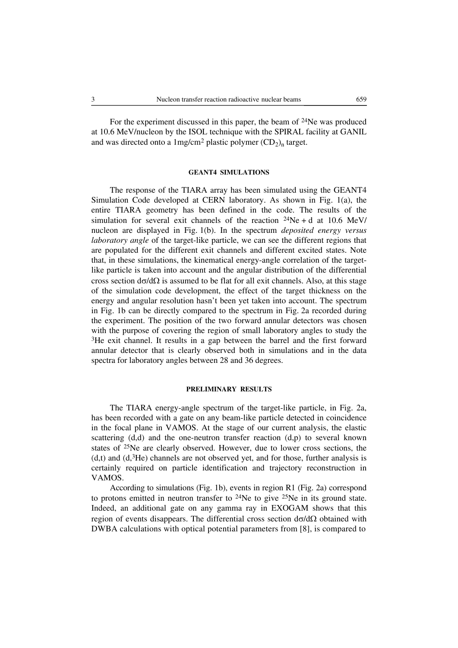For the experiment discussed in this paper, the beam of 24Ne was produced at 10.6 MeV/nucleon by the ISOL technique with the SPIRAL facility at GANIL and was directed onto a  $1 \text{mg/cm}^2$  plastic polymer  $(CD_2)$ <sub>n</sub> target.

### **GEANT4 SIMULATIONS**

The response of the TIARA array has been simulated using the GEANT4 Simulation Code developed at CERN laboratory. As shown in Fig. 1(a), the entire TIARA geometry has been defined in the code. The results of the simulation for several exit channels of the reaction  $^{24}Ne + d$  at 10.6 MeV/ nucleon are displayed in Fig. 1(b). In the spectrum *deposited energy versus laboratory angle* of the target-like particle, we can see the different regions that are populated for the different exit channels and different excited states. Note that, in these simulations, the kinematical energy-angle correlation of the targetlike particle is taken into account and the angular distribution of the differential cross section  $d\sigma/d\Omega$  is assumed to be flat for all exit channels. Also, at this stage of the simulation code development, the effect of the target thickness on the energy and angular resolution hasn't been yet taken into account. The spectrum in Fig. 1b can be directly compared to the spectrum in Fig. 2a recorded during the experiment. The position of the two forward annular detectors was chosen with the purpose of covering the region of small laboratory angles to study the <sup>3</sup>He exit channel. It results in a gap between the barrel and the first forward annular detector that is clearly observed both in simulations and in the data spectra for laboratory angles between 28 and 36 degrees.

#### **PRELIMINARY RESULTS**

The TIARA energy-angle spectrum of the target-like particle, in Fig. 2a, has been recorded with a gate on any beam-like particle detected in coincidence in the focal plane in VAMOS. At the stage of our current analysis, the elastic scattering  $(d,d)$  and the one-neutron transfer reaction  $(d,p)$  to several known states of 25Ne are clearly observed. However, due to lower cross sections, the  $(d,t)$  and  $(d,3He)$  channels are not observed yet, and for those, further analysis is certainly required on particle identification and trajectory reconstruction in VAMOS.

According to simulations (Fig. 1b), events in region R1 (Fig. 2a) correspond to protons emitted in neutron transfer to  $24$ Ne to give  $25$ Ne in its ground state. Indeed, an additional gate on any gamma ray in EXOGAM shows that this region of events disappears. The differential cross section  $d\sigma/dΩ$  obtained with DWBA calculations with optical potential parameters from [8], is compared to